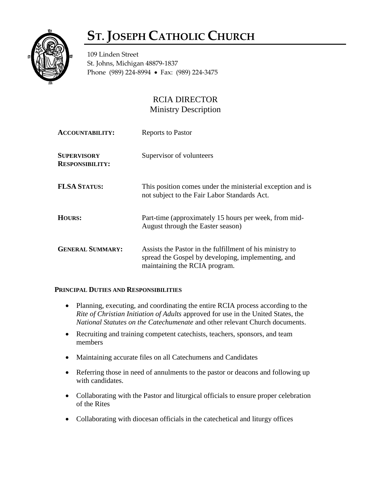## **ST. JOSEPH CATHOLIC CHURCH**



109 Linden Street St. Johns, Michigan 48879-1837 Phone (989) 224-8994 • Fax: (989) 224-3475

## RCIA DIRECTOR Ministry Description

| <b>ACCOUNTABILITY:</b>                       | <b>Reports to Pastor</b>                                                                                                                        |
|----------------------------------------------|-------------------------------------------------------------------------------------------------------------------------------------------------|
| <b>SUPERVISORY</b><br><b>RESPONSIBILITY:</b> | Supervisor of volunteers                                                                                                                        |
| <b>FLSA STATUS:</b>                          | This position comes under the ministerial exception and is<br>not subject to the Fair Labor Standards Act.                                      |
| HOURS:                                       | Part-time (approximately 15 hours per week, from mid-<br>August through the Easter season)                                                      |
| <b>GENERAL SUMMARY:</b>                      | Assists the Pastor in the fulfillment of his ministry to<br>spread the Gospel by developing, implementing, and<br>maintaining the RCIA program. |

## **PRINCIPAL DUTIES AND RESPONSIBILITIES**

- Planning, executing, and coordinating the entire RCIA process according to the *Rite of Christian Initiation of Adults* approved for use in the United States, the *National Statutes on the Catechumenate* and other relevant Church documents.
- Recruiting and training competent cate chists, teachers, sponsors, and team members
- Maintaining accurate files on all Catechumens and Candidates
- Referring those in need of annulments to the pastor or deacons and following up with candidates.
- Collaborating with the Pastor and liturgical officials to ensure proper celebration of the Rites
- Collaborating with diocesan officials in the catechetical and liturgy offices